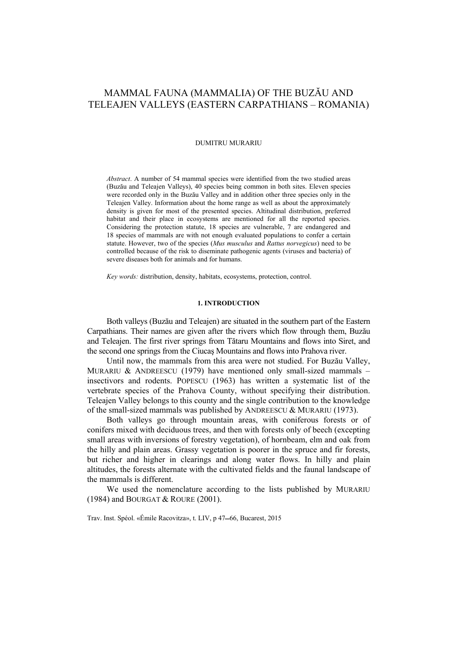# MAMMAL FAUNA (MAMMALIA) OF THE BUZĂU AND TELEAJEN VALLEYS (EASTERN CARPATHIANS – ROMANIA)

#### DUMITRU MURARIU

*Abstract*. A number of 54 mammal species were identified from the two studied areas (Buzău and Teleajen Valleys), 40 species being common in both sites. Eleven species were recorded only in the Buzău Valley and in addition other three species only in the Teleajen Valley. Information about the home range as well as about the approximately density is given for most of the presented species. Altitudinal distribution, preferred habitat and their place in ecosystems are mentioned for all the reported species. Considering the protection statute, 18 species are vulnerable, 7 are endangered and 18 species of mammals are with not enough evaluated populations to confer a certain statute. However, two of the species (*Mus musculus* and *Rattus norvegicus*) need to be controlled because of the risk to diseminate pathogenic agents (viruses and bacteria) of severe diseases both for animals and for humans.

*Key words:* distribution, density, habitats, ecosystems, protection, control.

#### **1. INTRODUCTION**

Both valleys (Buzău and Teleajen) are situated in the southern part of the Eastern Carpathians. Their names are given after the rivers which flow through them, Buzău and Teleajen. The first river springs from Tătaru Mountains and flows into Siret, and the second one springs from the Ciucaş Mountains and flows into Prahova river.

Until now, the mammals from this area were not studied. For Buzău Valley, MURARIU & ANDREESCU (1979) have mentioned only small-sized mammals  $$ insectivors and rodents. POPESCU (1963) has written a systematic list of the vertebrate species of the Prahova County, without specifying their distribution. Teleajen Valley belongs to this county and the single contribution to the knowledge of the small-sized mammals was published by ANDREESCU & MURARIU (1973).

Both valleys go through mountain areas, with coniferous forests or of conifers mixed with deciduous trees, and then with forests only of beech (excepting small areas with inversions of forestry vegetation), of hornbeam, elm and oak from the hilly and plain areas. Grassy vegetation is poorer in the spruce and fir forests, but richer and higher in clearings and along water flows. In hilly and plain altitudes, the forests alternate with the cultivated fields and the faunal landscape of the mammals is different.

We used the nomenclature according to the lists published by MURARIU (1984) and BOURGAT & ROURE (2001).

Trav. Inst. Spéol. «Émile Racovitza», t. LIV, p 47-66, Bucarest, 2015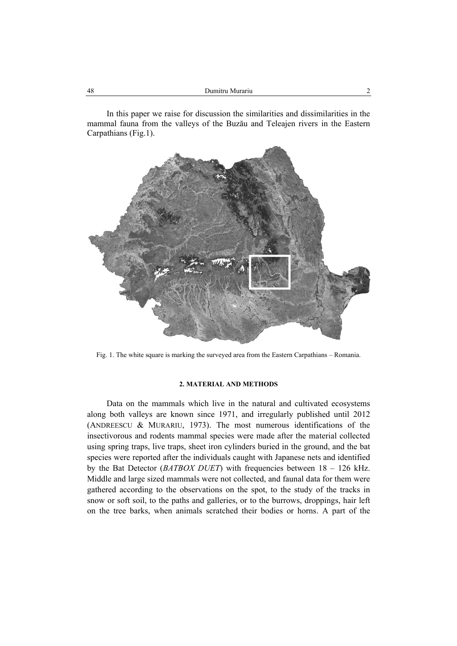In this paper we raise for discussion the similarities and dissimilarities in the mammal fauna from the valleys of the Buzău and Teleajen rivers in the Eastern Carpathians (Fig.1).



Fig. 1. The white square is marking the surveyed area from the Eastern Carpathians – Romania.

# **2. MATERIAL AND METHODS**

Data on the mammals which live in the natural and cultivated ecosystems along both valleys are known since 1971, and irregularly published until 2012 (ANDREESCU & MURARIU, 1973). The most numerous identifications of the insectivorous and rodents mammal species were made after the material collected using spring traps, live traps, sheet iron cylinders buried in the ground, and the bat species were reported after the individuals caught with Japanese nets and identified by the Bat Detector (*BATBOX DUET*) with frequencies between 18 – 126 kHz. Middle and large sized mammals were not collected, and faunal data for them were gathered according to the observations on the spot, to the study of the tracks in snow or soft soil, to the paths and galleries, or to the burrows, droppings, hair left on the tree barks, when animals scratched their bodies or horns. A part of the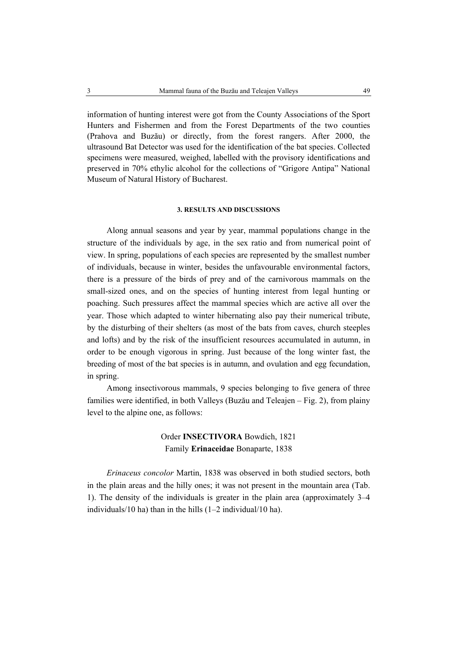information of hunting interest were got from the County Associations of the Sport Hunters and Fishermen and from the Forest Departments of the two counties (Prahova and Buzău) or directly, from the forest rangers. After 2000, the ultrasound Bat Detector was used for the identification of the bat species. Collected specimens were measured, weighed, labelled with the provisory identifications and preserved in 70% ethylic alcohol for the collections of "Grigore Antipa" National Museum of Natural History of Bucharest.

#### **3. RESULTS AND DISCUSSIONS**

Along annual seasons and year by year, mammal populations change in the structure of the individuals by age, in the sex ratio and from numerical point of view. In spring, populations of each species are represented by the smallest number of individuals, because in winter, besides the unfavourable environmental factors, there is a pressure of the birds of prey and of the carnivorous mammals on the small-sized ones, and on the species of hunting interest from legal hunting or poaching. Such pressures affect the mammal species which are active all over the year. Those which adapted to winter hibernating also pay their numerical tribute, by the disturbing of their shelters (as most of the bats from caves, church steeples and lofts) and by the risk of the insufficient resources accumulated in autumn, in order to be enough vigorous in spring. Just because of the long winter fast, the breeding of most of the bat species is in autumn, and ovulation and egg fecundation, in spring.

Among insectivorous mammals, 9 species belonging to five genera of three families were identified, in both Valleys (Buzău and Teleajen – Fig. 2), from plainy level to the alpine one, as follows:

# Order **INSECTIVORA** Bowdich, 1821 Family **Erinaceidae** Bonaparte, 1838

*Erinaceus concolor* Martin, 1838 was observed in both studied sectors, both in the plain areas and the hilly ones; it was not present in the mountain area (Tab. 1). The density of the individuals is greater in the plain area (approximately 3–4 individuals/10 ha) than in the hills (1–2 individual/10 ha).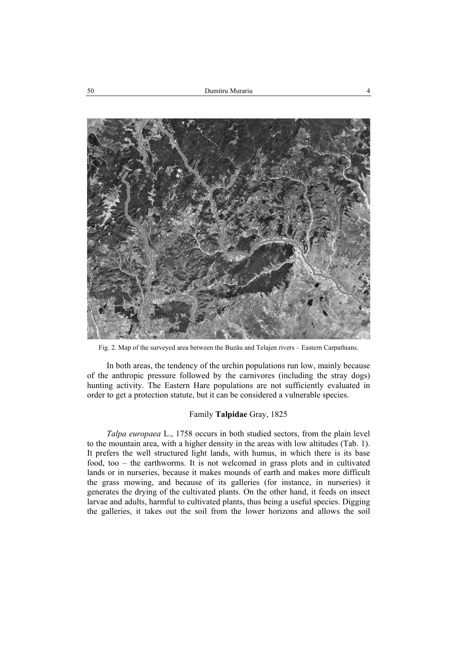

Fig. 2. Map of the surveyed area between the Buzău and Telajen rivers – Eastern Carpathians.

In both areas, the tendency of the urchin populations run low, mainly because of the anthropic pressure followed by the carnivores (including the stray dogs) hunting activity. The Eastern Hare populations are not sufficiently evaluated in order to get a protection statute, but it can be considered a vulnerable species.

### Family **Talpidae** Gray, 1825

*Talpa europaea* L., 1758 occurs in both studied sectors, from the plain level to the mountain area, with a higher density in the areas with low altitudes (Tab. 1). It prefers the well structured light lands, with humus, in which there is its base food, too – the earthworms. It is not welcomed in grass plots and in cultivated lands or in nurseries, because it makes mounds of earth and makes more difficult the grass mowing, and because of its galleries (for instance, in nurseries) it generates the drying of the cultivated plants. On the other hand, it feeds on insect larvae and adults, harmful to cultivated plants, thus being a useful species. Digging the galleries, it takes out the soil from the lower horizons and allows the soil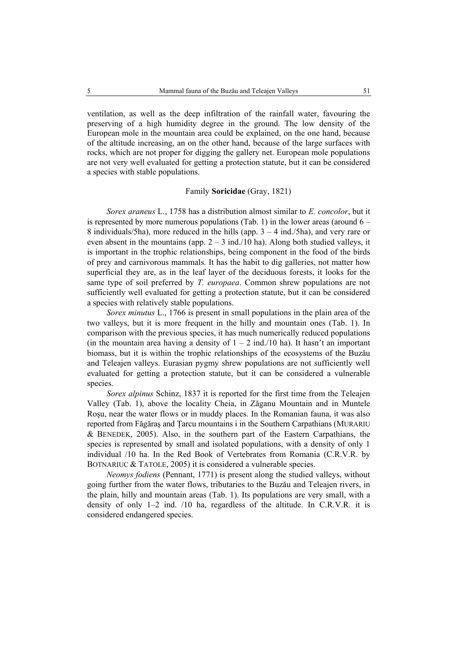ventilation, as well as the deep infiltration of the rainfall water, favouring the preserving of a high humidity degree in the ground. The low density of the European mole in the mountain area could be explained, on the one hand, because of the altitude increasing, an on the other hand, because of the large surfaces with rocks, which are not proper for digging the gallery net. European mole populations are not very well evaluated for getting a protection statute, but it can be considered a species with stable populations.

#### Family **Soricidae** (Gray, 1821)

*Sorex araneus* L., 1758 has a distribution almost similar to *E. concolor*, but it is represented by more numerous populations (Tab. 1) in the lower areas (around  $6 -$ 8 individuals/5ha), more reduced in the hills (app.  $3 - 4$  ind./5ha), and very rare or even absent in the mountains (app.  $2 - 3$  ind./10 ha). Along both studied valleys, it is important in the trophic relationships, being component in the food of the birds of prey and carnivorous mammals. It has the habit to dig galleries, not matter how superficial they are, as in the leaf layer of the deciduous forests, it looks for the same type of soil preferred by *T. europaea*. Common shrew populations are not sufficiently well evaluated for getting a protection statute, but it can be considered a species with relatively stable populations.

*Sorex minutus* L., 1766 is present in small populations in the plain area of the two valleys, but it is more frequent in the hilly and mountain ones (Tab. 1). In comparison with the previous species, it has much numerically reduced populations (in the mountain area having a density of  $1 - 2$  ind./10 ha). It hasn't an important biomass, but it is within the trophic relationships of the ecosystems of the Buzău and Teleajen valleys. Eurasian pygmy shrew populations are not sufficiently well evaluated for getting a protection statute, but it can be considered a vulnerable species

*Sorex alpinus* Schinz, 1837 it is reported for the first time from the Teleajen Valley (Tab. 1), above the locality Cheia, in Zăganu Mountain and in Muntele Roşu, near the water flows or in muddy places. In the Romanian fauna, it was also reported from Făgăraş and Ţarcu mountains i in the Southern Carpathians (MURARIU & BENEDEK, 2005). Also, in the southern part of the Eastern Carpathians, the species is represented by small and isolated populations, with a density of only 1 individual /10 ha. In the Red Book of Vertebrates from Romania (C.R.V.R. by BOTNARIUC & TATOLE, 2005) it is considered a vulnerable species.

*Neomys fodiens* (Pennant, 1771) is present along the studied valleys, without going further from the water flows, tributaries to the Buzău and Teleajen rivers, in the plain, hilly and mountain areas (Tab. 1). Its populations are very small, with a density of only 1–2 ind. /10 ha, regardless of the altitude. In C.R.V.R. it is considered endangered species.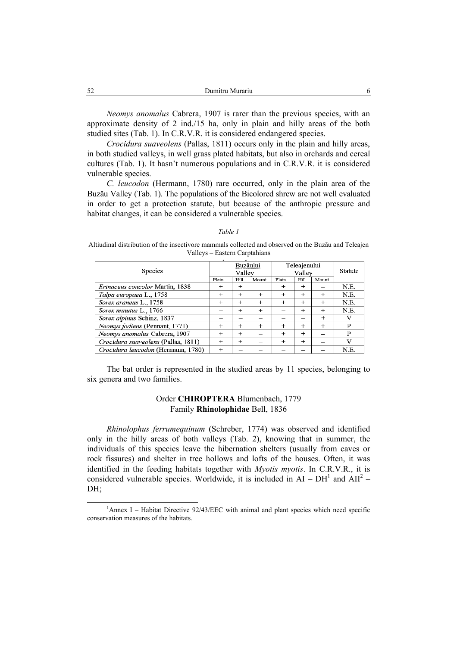| $\sim$<br>Dumitru Murariu<br>ے ر |  |
|----------------------------------|--|
|                                  |  |

*Neomys anomalus* Cabrera, 1907 is rarer than the previous species, with an approximate density of 2 ind./15 ha, only in plain and hilly areas of the both studied sites (Tab. 1). In C.R.V.R. it is considered endangered species.

*Crocidura suaveolens* (Pallas, 1811) occurs only in the plain and hilly areas, in both studied valleys, in well grass plated habitats, but also in orchards and cereal cultures (Tab. 1). It hasn't numerous populations and in C.R.V.R. it is considered vulnerable species.

*C. leucodon* (Hermann, 1780) rare occurred, only in the plain area of the Buzău Valley (Tab. 1). The populations of the Bicolored shrew are not well evaluated in order to get a protection statute, but because of the anthropic pressure and habitat changes, it can be considered a vulnerable species.

#### *Table 1*

Altiudinal distribution of the insectivore mammals collected and observed on the Buzău and Teleajen Valleys – Eastern Carptahians

| Species                                |        | Buzăului<br>Valley |        | Teleajenului<br>Valley | Statute   |        |      |
|----------------------------------------|--------|--------------------|--------|------------------------|-----------|--------|------|
|                                        | Plain  | Hill               | Mount. | Plain                  | Hill      | Mount. |      |
| <i>Erinaceus concolor</i> Martin, 1838 | $^+$   | $^{+}$             |        | $^{+}$                 | $^{+}$    |        | N.E. |
| Talpa europaea L., 1758                | $^{+}$ | $^{+}$             | $^{+}$ | $^{+}$                 | $^{+}$    | $^{+}$ | N.E. |
| Sorex araneus L., 1758                 | $^{+}$ | $^{+}$             | $+$    | $^{+}$                 | $^{+}$    | $^{+}$ | N.E. |
| Sorex minutus L., 1766                 |        | $^{+}$             | $+$    |                        | $+$       | $^{+}$ | N.E. |
| Sorex alpinus Schinz, 1837             |        |                    |        |                        |           | $+$    | V    |
| Neomys fodiens (Pennant, 1771)         | $^+$   | $^{+}$             |        | $^{+}$                 | $^{+}$    | $^{+}$ | P    |
| Neomys anomalus Cabrera, 1907          | $^{+}$ | $^{+}$             |        | $^{+}$                 | $\ddot{}$ |        | P    |
| Crocidura suaveolens (Pallas, 1811)    | $+$    | $+$                |        | $+$                    | $\ddot{}$ |        | v    |
| Crocidura leucodon (Hermann, 1780)     | $^{+}$ | _                  |        |                        |           |        | N.E. |

The bat order is represented in the studied areas by 11 species, belonging to six genera and two families.

# Order **CHIROPTERA** Blumenbach, 1779 Family **Rhinolophidae** Bell, 1836

*Rhinolophus ferrumequinum* (Schreber, 1774) was observed and identified only in the hilly areas of both valleys (Tab. 2), knowing that in summer, the individuals of this species leave the hibernation shelters (usually from caves or rock fissures) and shelter in tree hollows and lofts of the houses. Often, it was identified in the feeding habitats together with *Myotis myotis*. In C.R.V.R., it is considered vulnerable species. Worldwide, it is included in  $AI - DH<sup>1</sup>$  and  $AII<sup>2</sup> -$ DH;

<sup>1&</sup>lt;sup>1</sup> <sup>1</sup>Annex I – Habitat Directive  $92/43/EEC$  with animal and plant species which need specific conservation measures of the habitats.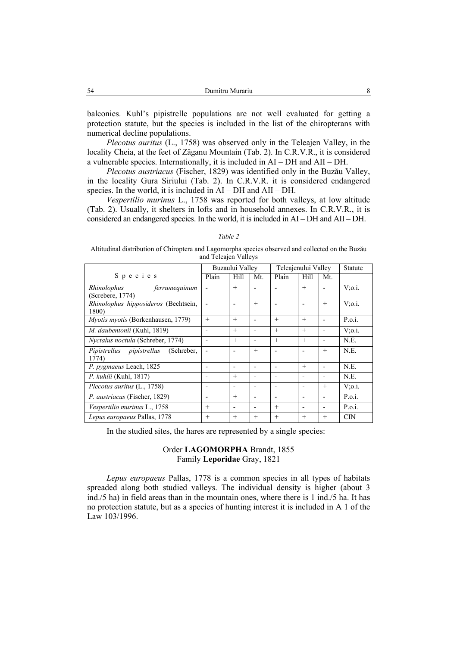balconies. Kuhl's pipistrelle populations are not well evaluated for getting a protection statute, but the species is included in the list of the chiropterans with numerical decline populations.

*Plecotus auritus* (L., 1758) was observed only in the Teleajen Valley, in the locality Cheia, at the feet of Zăganu Mountain (Tab. 2). In C.R.V.R., it is considered a vulnerable species. Internationally, it is included in AI – DH and AII – DH.

*Plecotus austriacus* (Fischer, 1829) was identified only in the Buzău Valley, in the locality Gura Siriului (Tab. 2). In C.R.V.R. it is considered endangered species. In the world, it is included in AI – DH and AII – DH.

*Vespertilio murinus* L., 1758 was reported for both valleys, at low altitude (Tab. 2). Usually, it shelters in lofts and in household annexes. In C.R.V.R., it is considered an endangered species. In the world, it is included in AI – DH and AII – DH.

*Table 2*  Altitudinal distribution of Chiroptera and Lagomorpha species observed and collected on the Buzău and Teleajen Valleys

|                                           |                 | <b>Statute</b> |                          |                     |                              |                          |               |
|-------------------------------------------|-----------------|----------------|--------------------------|---------------------|------------------------------|--------------------------|---------------|
|                                           | Buzaului Valley |                |                          | Teleajenului Valley |                              |                          |               |
| Species                                   | Plain           | Hill           | Mt.                      | Plain               | Hill                         | Mt.                      |               |
| Rhinolophus<br>ferrumequinum              |                 | $+$            |                          |                     | $+$                          |                          | $V$ ;0.i.     |
| (Screbere, 1774)                          |                 |                |                          |                     |                              |                          |               |
| Rhinolophus hipposideros (Bechtsein,      |                 |                | $^{+}$                   |                     |                              | $+$                      | $V:$ 0.1.     |
| 1800)                                     |                 |                |                          |                     |                              |                          |               |
| <i>Myotis myotis</i> (Borkenhausen, 1779) | $^{+}$          | $+$            | $\overline{\phantom{0}}$ | $+$                 | $+$                          | $\overline{\phantom{0}}$ | P.o.i.        |
| M. daubentonii (Kuhl, 1819)               |                 | $+$            | $\overline{\phantom{a}}$ | $+$                 | $+$                          | $\overline{\phantom{0}}$ | $V$ ; $o.i$ . |
| Nyctalus noctula (Schreber, 1774)         |                 | $^{+}$         | $\overline{\phantom{0}}$ | $+$                 | $+$                          | $\overline{\phantom{0}}$ | N.E.          |
| Pipistrellus pipistrellus<br>(Schreber,   |                 |                | $^{+}$                   |                     |                              | $^{+}$                   | N.E.          |
| 1774)                                     |                 |                |                          |                     |                              |                          |               |
| P. pygmaeus Leach, 1825                   |                 | -              | $\overline{\phantom{a}}$ |                     | $+$                          | $\overline{\phantom{a}}$ | N.E.          |
| P. kuhlii (Kuhl, 1817)                    |                 | $^{+}$         | $\overline{\phantom{0}}$ |                     |                              | $\overline{\phantom{0}}$ | N.E.          |
| Plecotus auritus (L., 1758)               |                 |                | $\overline{\phantom{0}}$ |                     |                              | $+$                      | $V: 0.1$ .    |
| P. austriacus (Fischer, 1829)             |                 | $^{+}$         | $\overline{\phantom{0}}$ |                     | $\qquad \qquad \blacksquare$ | $\overline{\phantom{0}}$ | P.o.i.        |
| Vespertilio murinus L., 1758              | $^{+}$          | -              | $\overline{\phantom{a}}$ | $+$                 | $\overline{\phantom{0}}$     | $\overline{\phantom{0}}$ | P.o.i.        |
| Lepus europaeus Pallas, 1778              | $^{+}$          | $^{+}$         | $^{+}$                   | $+$                 | $^{+}$                       | $^{+}$                   | <b>CIN</b>    |

In the studied sites, the hares are represented by a single species:

### Order **LAGOMORPHA** Brandt, 1855 Family **Leporidae** Gray, 1821

*Lepus europaeus* Pallas, 1778 is a common species in all types of habitats spreaded along both studied valleys. The individual density is higher (about 3 ind./5 ha) in field areas than in the mountain ones, where there is 1 ind./5 ha. It has no protection statute, but as a species of hunting interest it is included in A 1 of the Law 103/1996.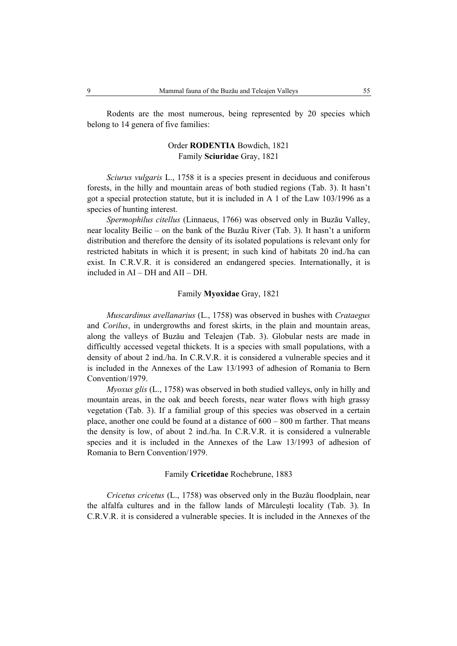Rodents are the most numerous, being represented by 20 species which belong to 14 genera of five families:

# Order **RODENTIA** Bowdich, 1821 Family **Sciuridae** Gray, 1821

*Sciurus vulgaris* L., 1758 it is a species present in deciduous and coniferous forests, in the hilly and mountain areas of both studied regions (Tab. 3). It hasn't got a special protection statute, but it is included in A 1 of the Law 103/1996 as a species of hunting interest.

*Spermophilus citellus* (Linnaeus, 1766) was observed only in Buzău Valley, near locality Beilic – on the bank of the Buzău River (Tab. 3). It hasn't a uniform distribution and therefore the density of its isolated populations is relevant only for restricted habitats in which it is present; in such kind of habitats 20 ind./ha can exist. In C.R.V.R. it is considered an endangered species. Internationally, it is included in AI – DH and AII – DH.

### Family **Myoxidae** Gray, 1821

*Muscardinus avellanarius* (L., 1758) was observed in bushes with *Crataegus*  and *Corilus*, in undergrowths and forest skirts, in the plain and mountain areas, along the valleys of Buzău and Teleajen (Tab. 3). Globular nests are made in difficultly accessed vegetal thickets. It is a species with small populations, with a density of about 2 ind./ha. In C.R.V.R. it is considered a vulnerable species and it is included in the Annexes of the Law 13/1993 of adhesion of Romania to Bern Convention/1979.

*Myoxus glis* (L., 1758) was observed in both studied valleys, only in hilly and mountain areas, in the oak and beech forests, near water flows with high grassy vegetation (Tab. 3). If a familial group of this species was observed in a certain place, another one could be found at a distance of 600 – 800 m farther. That means the density is low, of about 2 ind./ha. In C.R.V.R. it is considered a vulnerable species and it is included in the Annexes of the Law 13/1993 of adhesion of Romania to Bern Convention/1979.

## Family **Cricetidae** Rochebrune, 1883

*Cricetus cricetus* (L., 1758) was observed only in the Buzău floodplain, near the alfalfa cultures and in the fallow lands of Mărculeşti locality (Tab. 3). In C.R.V.R. it is considered a vulnerable species. It is included in the Annexes of the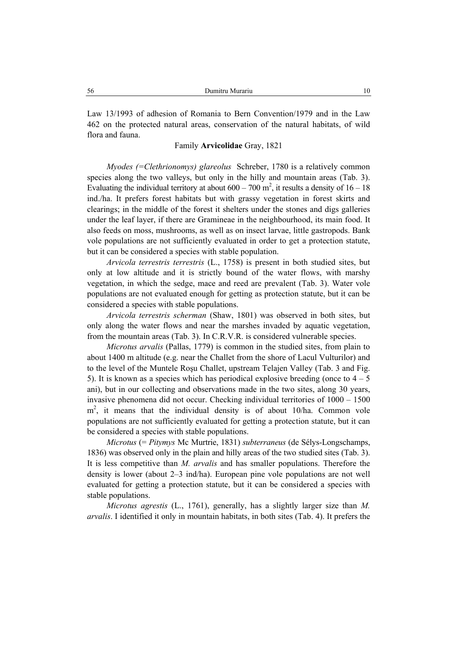Law 13/1993 of adhesion of Romania to Bern Convention/1979 and in the Law 462 on the protected natural areas, conservation of the natural habitats, of wild flora and fauna.

### Family **Arvicolidae** Gray, 1821

*Myodes (=Clethrionomys) glareolus* Schreber, 1780 is a relatively common species along the two valleys, but only in the hilly and mountain areas (Tab. 3). Evaluating the individual territory at about  $600 - 700$  m<sup>2</sup>, it results a density of  $16 - 18$ ind./ha. It prefers forest habitats but with grassy vegetation in forest skirts and clearings; in the middle of the forest it shelters under the stones and digs galleries under the leaf layer, if there are Gramineae in the neighbourhood, its main food. It also feeds on moss, mushrooms, as well as on insect larvae, little gastropods. Bank vole populations are not sufficiently evaluated in order to get a protection statute, but it can be considered a species with stable population.

*Arvicola terrestris terrestris* (L., 1758) is present in both studied sites, but only at low altitude and it is strictly bound of the water flows, with marshy vegetation, in which the sedge, mace and reed are prevalent (Tab. 3). Water vole populations are not evaluated enough for getting as protection statute, but it can be considered a species with stable populations.

*Arvicola terrestris scherman* (Shaw, 1801) was observed in both sites, but only along the water flows and near the marshes invaded by aquatic vegetation, from the mountain areas (Tab. 3). In C.R.V.R. is considered vulnerable species.

*Microtus arvalis* (Pallas, 1779) is common in the studied sites, from plain to about 1400 m altitude (e.g. near the Challet from the shore of Lacul Vulturilor) and to the level of the Muntele Roşu Challet, upstream Telajen Valley (Tab. 3 and Fig. 5). It is known as a species which has periodical explosive breeding (once to  $4 - 5$ ) ani), but in our collecting and observations made in the two sites, along 30 years, invasive phenomena did not occur. Checking individual territories of 1000 – 1500 m<sup>2</sup>, it means that the individual density is of about 10/ha. Common vole populations are not sufficiently evaluated for getting a protection statute, but it can be considered a species with stable populations.

*Microtus* (= *Pitymys* Mc Murtrie, 1831) *subterraneus* (de Sélys-Longschamps, 1836) was observed only in the plain and hilly areas of the two studied sites (Tab. 3). It is less competitive than *M. arvalis* and has smaller populations. Therefore the density is lower (about 2–3 ind/ha). European pine vole populations are not well evaluated for getting a protection statute, but it can be considered a species with stable populations.

*Microtus agrestis* (L., 1761), generally, has a slightly larger size than *M. arvalis*. I identified it only in mountain habitats, in both sites (Tab. 4). It prefers the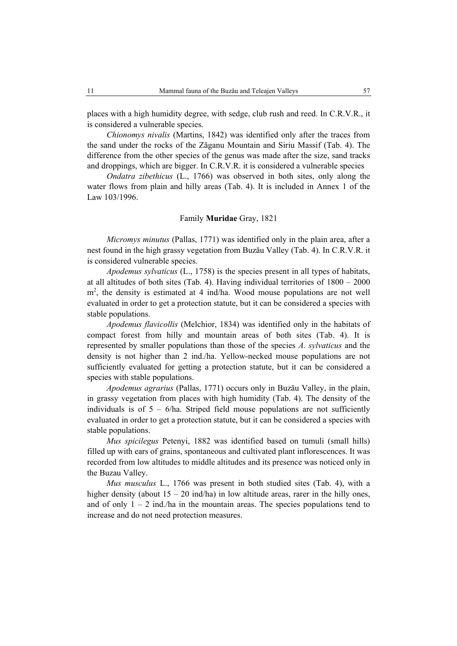places with a high humidity degree, with sedge, club rush and reed. In C.R.V.R., it is considered a vulnerable species.

*Chionomys nivalis* (Martins, 1842) was identified only after the traces from the sand under the rocks of the Zăganu Mountain and Siriu Massif (Tab. 4). The difference from the other species of the genus was made after the size, sand tracks and droppings, which are bigger. In C.R.V.R. it is considered a vulnerable species

*Ondatra zibethicus* (L., 1766) was observed in both sites, only along the water flows from plain and hilly areas (Tab. 4). It is included in Annex 1 of the Law 103/1996.

#### Family **Muridae** Gray, 1821

*Micromys minutus* (Pallas, 1771) was identified only in the plain area, after a nest found in the high grassy vegetation from Buzău Valley (Tab. 4). In C.R.V.R. it is considered vulnerable species.

*Apodemus sylvaticus* (L., 1758) is the species present in all types of habitats, at all altitudes of both sites (Tab. 4). Having individual territories of 1800 – 2000 m<sup>2</sup>, the density is estimated at 4 ind/ha. Wood mouse populations are not well evaluated in order to get a protection statute, but it can be considered a species with stable populations.

*Apodemus flavicollis* (Melchior, 1834) was identified only in the habitats of compact forest from hilly and mountain areas of both sites (Tab. 4). It is represented by smaller populations than those of the species *A. sylvaticus* and the density is not higher than 2 ind./ha. Yellow-necked mouse populations are not sufficiently evaluated for getting a protection statute, but it can be considered a species with stable populations.

*Apodemus agrarius* (Pallas, 1771) occurs only in Buzău Valley, in the plain, in grassy vegetation from places with high humidity (Tab. 4). The density of the individuals is of  $5 - 6/h$ a. Striped field mouse populations are not sufficiently evaluated in order to get a protection statute, but it can be considered a species with stable populations.

*Mus spicilegus* Petenyi, 1882 was identified based on tumuli (small hills) filled up with ears of grains, spontaneous and cultivated plant inflorescences. It was recorded from low altitudes to middle altitudes and its presence was noticed only in the Buzau Valley.

*Mus musculus* L., 1766 was present in both studied sites (Tab. 4), with a higher density (about  $15 - 20$  ind/ha) in low altitude areas, rarer in the hilly ones, and of only  $1 - 2$  ind./ha in the mountain areas. The species populations tend to increase and do not need protection measures.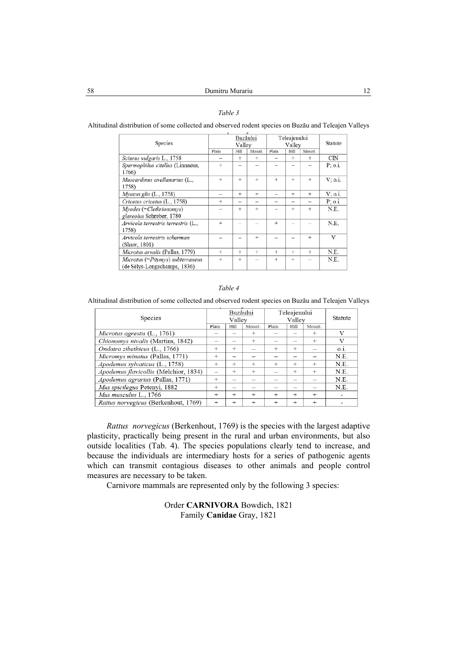### *Table 3*

Altitudinal distribution of some collected and observed rodent species on Buzău and Teleajen Valleys

| Buzăului<br>Vallev |           |           |                          | Statute                  |           |                        |
|--------------------|-----------|-----------|--------------------------|--------------------------|-----------|------------------------|
| Plain              | Hill      | Mount.    | Plain                    | Hill                     | Mount.    |                        |
|                    | $^{+}$    | $+$       | $\overline{\phantom{0}}$ | $+$                      | $\ddot{}$ | CIN                    |
| $^{+}$             |           |           |                          |                          |           | P: o.i.                |
|                    |           |           |                          |                          |           |                        |
| $\ddot{}$          | $^{+}$    | $+$       | ÷                        | $+$                      | ÷         | V: 0.i.                |
|                    |           |           |                          |                          |           |                        |
|                    | $\ddot{}$ | $\ddot{}$ | -                        | $\ddot{}$                | $\ddot{}$ | V: o.i.                |
| $^{+}$             | -         |           |                          | $\overline{\phantom{a}}$ |           | P: 0.i.                |
|                    | $^{+}$    | $^{+}$    |                          | $\ddot{}$                | $\ddot{}$ | N.E.                   |
|                    |           |           |                          |                          |           |                        |
| $^{+}$             |           |           | $\ddot{}$                |                          |           | N.E.                   |
|                    |           |           |                          |                          |           |                        |
|                    | -         | $^{+}$    |                          |                          | $\div$    | $\mathbf{V}$           |
|                    |           |           |                          |                          |           |                        |
| $^{+}$             | $^{+}$    | $^{+}$    | $^{+}$                   | $^{+}$                   | $^{+}$    | N.E.                   |
| $^{+}$             | $^{+}$    |           | $\ddot{}$                | $^{+}$                   | -         | N.E.                   |
|                    |           |           |                          |                          |           |                        |
|                    |           |           |                          |                          |           | Teleajenului<br>Valley |

#### *Table 4*

Altitudinal distribution of some collected and observed rodent species on Buzău and Teleajen Valleys

| Species                               |                          | Buzăului<br>Valley |        | Teleajenului<br>Vallev |        |        | Statute |
|---------------------------------------|--------------------------|--------------------|--------|------------------------|--------|--------|---------|
|                                       | Plain                    | Hill               | Mount. | Plain                  | Hill   | Mount. |         |
| Microtus agrestis $(L., 1761)$        |                          |                    | $^{+}$ |                        |        | $^{+}$ | v       |
| Chionomys nivalis (Martins, 1842)     |                          |                    | $^{+}$ |                        |        | $^{+}$ | V       |
| Ondatra zibethicus (L., 1766)         | $^{+}$                   | $^{+}$             |        | $^{+}$                 | $^{+}$ |        | O.1.    |
| Micromys minutus (Pallas, 1771)       | $^{+}$                   |                    |        |                        |        |        | N.E.    |
| Apodemus sylvaticus (L., 1758)        | $^{+}$                   | $^{+}$             | $+$    | $^{+}$                 | $^{+}$ | $^{+}$ | N.E.    |
| Apodemus flavicollis (Melchior, 1834) | $\overline{\phantom{0}}$ | $^{+}$             | $^{+}$ |                        | $^{+}$ | $^{+}$ | N.E.    |
| Apodemus agrarius (Pallas, 1771)      | $^{+}$                   |                    |        |                        |        |        | N.E.    |
| Mus spicilegus Petenyi, 1882          | $+$                      |                    |        |                        |        |        | N.E.    |
| Mus musculus L., 1766                 | $^{+}$                   | $+$                | $+$    | $+$                    | $^{+}$ | $^{+}$ |         |
| Rattus norvegicus (Berkenhout, 1769)  | $^{+}$                   | $^{+}$             | $^{+}$ | $+$                    | $^{+}$ | $+$    |         |

*Rattus norvegicus* (Berkenhout, 1769) is the species with the largest adaptive plasticity, practically being present in the rural and urban environments, but also outside localities (Tab. 4). The species populations clearly tend to increase, and because the individuals are intermediary hosts for a series of pathogenic agents which can transmit contagious diseases to other animals and people control measures are necessary to be taken.

Carnivore mammals are represented only by the following 3 species:

# Order **CARNIVORA** Bowdich, 1821 Family **Canidae** Gray, 1821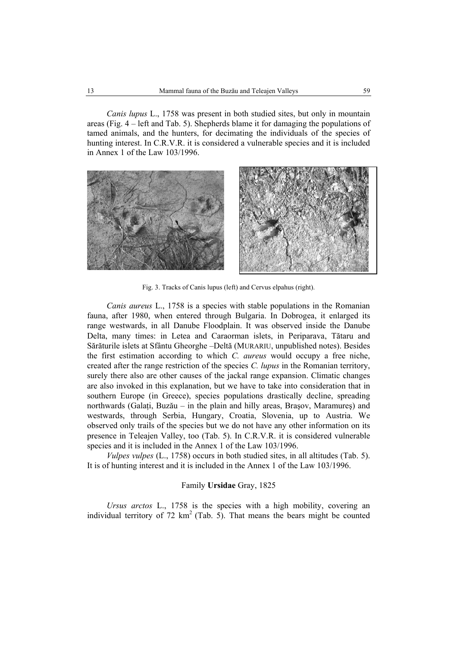*Canis lupus* L., 1758 was present in both studied sites, but only in mountain areas (Fig. 4 – left and Tab. 5). Shepherds blame it for damaging the populations of tamed animals, and the hunters, for decimating the individuals of the species of hunting interest. In C.R.V.R. it is considered a vulnerable species and it is included in Annex 1 of the Law 103/1996.



Fig. 3. Tracks of Canis lupus (left) and Cervus elpahus (right).

*Canis aureus* L., 1758 is a species with stable populations in the Romanian fauna, after 1980, when entered through Bulgaria. In Dobrogea, it enlarged its range westwards, in all Danube Floodplain. It was observed inside the Danube Delta, many times: in Letea and Caraorman islets, in Periparava, Tătaru and Sărăturile islets at Sfântu Gheorghe –Deltă (MURARIU, unpublished notes). Besides the first estimation according to which *C. aureus* would occupy a free niche, created after the range restriction of the species *C. lupus* in the Romanian territory, surely there also are other causes of the jackal range expansion. Climatic changes are also invoked in this explanation, but we have to take into consideration that in southern Europe (in Greece), species populations drastically decline, spreading northwards (Galaţi, Buzău – in the plain and hilly areas, Braşov, Maramureş) and westwards, through Serbia, Hungary, Croatia, Slovenia, up to Austria. We observed only trails of the species but we do not have any other information on its presence in Teleajen Valley, too (Tab. 5). In C.R.V.R. it is considered vulnerable species and it is included in the Annex 1 of the Law 103/1996.

*Vulpes vulpes* (L., 1758) occurs in both studied sites, in all altitudes (Tab. 5). It is of hunting interest and it is included in the Annex 1 of the Law 103/1996.

### Family **Ursidae** Gray, 1825

*Ursus arctos* L., 1758 is the species with a high mobility, covering an individual territory of 72  $km^2$  (Tab. 5). That means the bears might be counted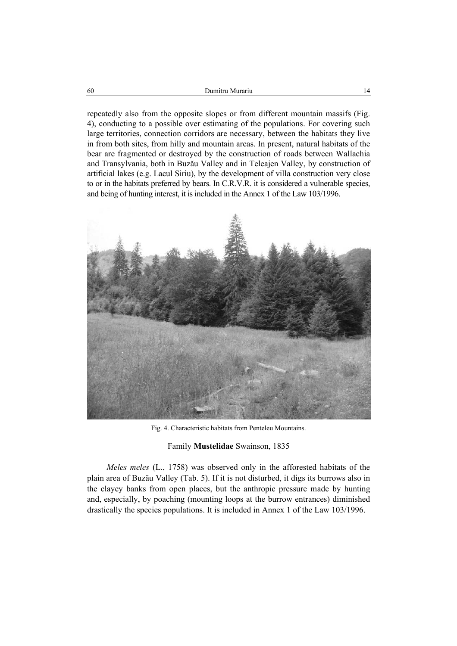repeatedly also from the opposite slopes or from different mountain massifs (Fig. 4), conducting to a possible over estimating of the populations. For covering such large territories, connection corridors are necessary, between the habitats they live in from both sites, from hilly and mountain areas. In present, natural habitats of the bear are fragmented or destroyed by the construction of roads between Wallachia and Transylvania, both in Buzău Valley and in Teleajen Valley, by construction of artificial lakes (e.g. Lacul Siriu), by the development of villa construction very close to or in the habitats preferred by bears. In C.R.V.R. it is considered a vulnerable species, and being of hunting interest, it is included in the Annex 1 of the Law 103/1996.



Fig. 4. Characteristic habitats from Penteleu Mountains.

#### Family **Mustelidae** Swainson, 1835

*Meles meles* (L., 1758) was observed only in the afforested habitats of the plain area of Buzău Valley (Tab. 5). If it is not disturbed, it digs its burrows also in the clayey banks from open places, but the anthropic pressure made by hunting and, especially, by poaching (mounting loops at the burrow entrances) diminished drastically the species populations. It is included in Annex 1 of the Law 103/1996.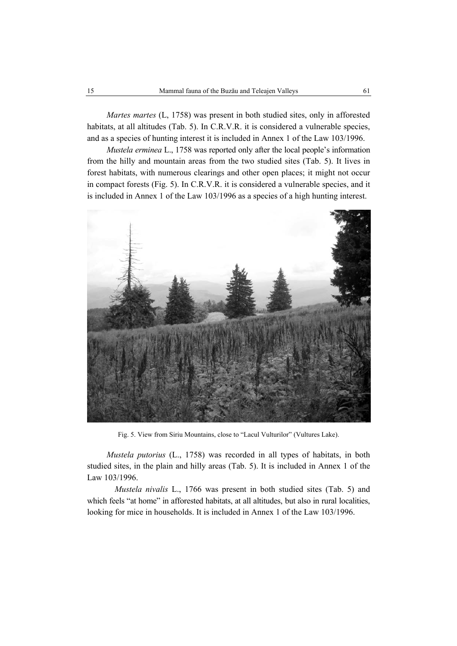*Martes martes* (L, 1758) was present in both studied sites, only in afforested habitats, at all altitudes (Tab. 5). In C.R.V.R. it is considered a vulnerable species, and as a species of hunting interest it is included in Annex 1 of the Law 103/1996.

*Mustela erminea* L., 1758 was reported only after the local people's information from the hilly and mountain areas from the two studied sites (Tab. 5). It lives in forest habitats, with numerous clearings and other open places; it might not occur in compact forests (Fig. 5). In C.R.V.R. it is considered a vulnerable species, and it is included in Annex 1 of the Law 103/1996 as a species of a high hunting interest.



Fig. 5. View from Siriu Mountains, close to "Lacul Vulturilor" (Vultures Lake).

*Mustela putorius* (L., 1758) was recorded in all types of habitats, in both studied sites, in the plain and hilly areas (Tab. 5). It is included in Annex 1 of the Law 103/1996.

*Mustela nivalis* L., 1766 was present in both studied sites (Tab. 5) and which feels "at home" in afforested habitats, at all altitudes, but also in rural localities, looking for mice in households. It is included in Annex 1 of the Law 103/1996.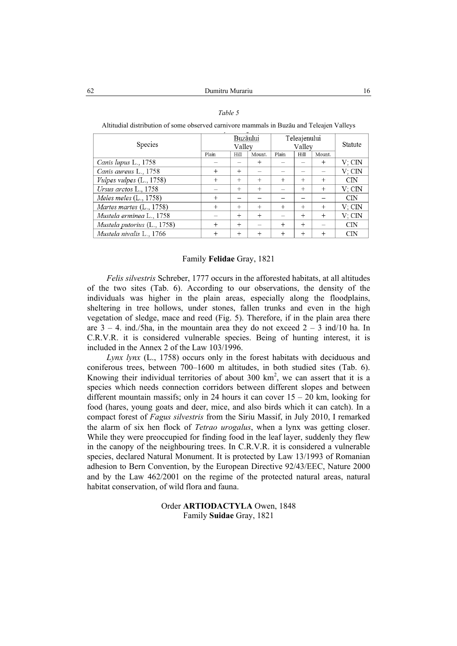#### *Table 5*

Altitudial distribution of some observed carnivore mammals in Buzău and Teleajen Valleys

| Species                     | Buzăului<br>Vallev |        |        | Teleajenului<br>Valley | Statute |        |                |
|-----------------------------|--------------------|--------|--------|------------------------|---------|--------|----------------|
|                             | Plain              | Hill   | Mount. | Plain                  | Hill    | Mount. |                |
| Canis lupus L., 1758        |                    |        | $^{+}$ |                        |         | $^{+}$ | $V:$ CIN       |
| Canis aureus L., 1758       | $^{+}$             | $^{+}$ |        |                        |         |        | V: CIN         |
| Vulpes vulpes (L., 1758)    | $^{+}$             | $+$    | $+$    | $^{+}$                 | $+$     | $+$    | $\mathbf{CIN}$ |
| Ursus arctos L., 1758       | -                  | $^{+}$ | $^{+}$ |                        | $^{+}$  | $^{+}$ | V: CIN         |
| Meles meles $(L., 1758)$    | $^{+}$             |        |        |                        |         |        | $\mathbf{CIN}$ |
| Martes martes $(L., 1758)$  | $^{+}$             | $^{+}$ | $^{+}$ | $^{+}$                 | $^{+}$  | $^{+}$ | V: CIN         |
| Mustela erminea L., 1758    |                    | $^{+}$ | $^{+}$ |                        | $^{+}$  | $^{+}$ | V: CIN         |
| Mustela putorius (L., 1758) | $^{+}$             | $^{+}$ |        | $^{+}$                 | $^{+}$  |        | $\text{CN}$    |
| Mustela nivalis L., 1766    | $^{+}$             | $^{+}$ | $^{+}$ | $^{+}$                 | $^{+}$  | $^{+}$ | $\mathbf{CIN}$ |

#### Family **Felidae** Gray, 1821

*Felis silvestris* Schreber, 1777 occurs in the afforested habitats, at all altitudes of the two sites (Tab. 6). According to our observations, the density of the individuals was higher in the plain areas, especially along the floodplains, sheltering in tree hollows, under stones, fallen trunks and even in the high vegetation of sledge, mace and reed (Fig. 5). Therefore, if in the plain area there are  $3 - 4$ . ind./5ha, in the mountain area they do not exceed  $2 - 3$  ind/10 ha. In C.R.V.R. it is considered vulnerable species. Being of hunting interest, it is included in the Annex 2 of the Law 103/1996.

*Lynx lynx* (L., 1758) occurs only in the forest habitats with deciduous and coniferous trees, between 700–1600 m altitudes, in both studied sites (Tab. 6). Knowing their individual territories of about 300  $km^2$ , we can assert that it is a species which needs connection corridors between different slopes and between different mountain massifs; only in 24 hours it can cover  $15 - 20$  km, looking for food (hares, young goats and deer, mice, and also birds which it can catch). In a compact forest of *Fagus silvestris* from the Siriu Massif, in July 2010, I remarked the alarm of six hen flock of *Tetrao urogalus*, when a lynx was getting closer. While they were preoccupied for finding food in the leaf layer, suddenly they flew in the canopy of the neighbouring trees. In C.R.V.R. it is considered a vulnerable species, declared Natural Monument. It is protected by Law 13/1993 of Romanian adhesion to Bern Convention, by the European Directive 92/43/EEC, Nature 2000 and by the Law 462/2001 on the regime of the protected natural areas, natural habitat conservation, of wild flora and fauna.

## Order **ARTIODACTYLA** Owen, 1848 Family **Suidae** Gray, 1821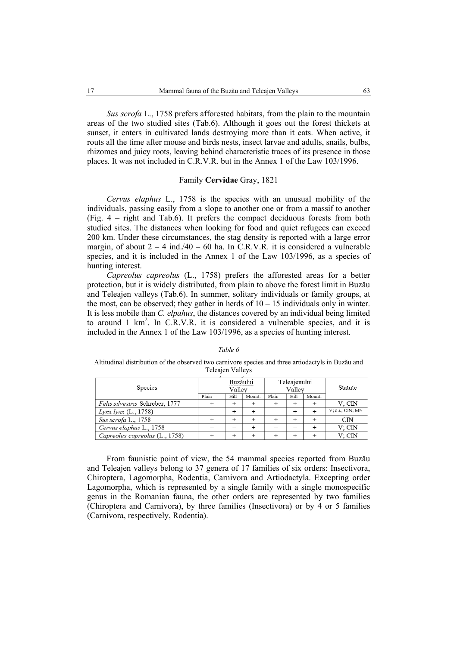*Sus scrofa* L., 1758 prefers afforested habitats, from the plain to the mountain areas of the two studied sites (Tab.6). Although it goes out the forest thickets at sunset, it enters in cultivated lands destroying more than it eats. When active, it routs all the time after mouse and birds nests, insect larvae and adults, snails, bulbs, rhizomes and juicy roots, leaving behind characteristic traces of its presence in those places. It was not included in C.R.V.R. but in the Annex 1 of the Law 103/1996.

#### Family **Cervidae** Gray, 1821

*Cervus elaphus* L., 1758 is the species with an unusual mobility of the individuals, passing easily from a slope to another one or from a massif to another (Fig. 4 – right and Tab.6). It prefers the compact deciduous forests from both studied sites. The distances when looking for food and quiet refugees can exceed 200 km. Under these circumstances, the stag density is reported with a large error margin, of about  $2 - 4$  ind./40 – 60 ha. In C.R.V.R. it is considered a vulnerable species, and it is included in the Annex 1 of the Law 103/1996, as a species of hunting interest.

*Capreolus capreolus* (L., 1758) prefers the afforested areas for a better protection, but it is widely distributed, from plain to above the forest limit in Buzău and Teleajen valleys (Tab.6). In summer, solitary individuals or family groups, at the most, can be observed; they gather in herds of  $10 - 15$  individuals only in winter. It is less mobile than *C. elpahus*, the distances covered by an individual being limited to around 1  $km^2$ . In C.R.V.R. it is considered a vulnerable species, and it is included in the Annex 1 of the Law 103/1996, as a species of hunting interest.

*Table 6* Altitudinal distribution of the observed two carnivore species and three artiodactyls in Buzău and Teleajen Valleys

| Species                         | Buzăului<br>Vallev |        |        | Teleajenului<br>Valley | Statute |        |                  |
|---------------------------------|--------------------|--------|--------|------------------------|---------|--------|------------------|
|                                 | Plain              | Hill   | Mount. | Plain                  | Hill    | Mount. |                  |
| Felis silvestris Schreber, 1777 |                    |        |        |                        |         |        | V: CIN           |
| <i>Lynx lynx</i> $(L., 1758)$   |                    |        |        |                        |         |        | V; o.i.; CIN; MN |
| Sus scrofa L., 1758             |                    | $^{+}$ |        |                        |         |        | CIN              |
| Cervus elaphus L., 1758         |                    |        |        |                        |         |        | V: CIN           |
| Capreolus capreolus (L., 1758)  |                    |        |        |                        |         |        | V: CIN           |

From faunistic point of view, the 54 mammal species reported from Buzău and Teleajen valleys belong to 37 genera of 17 families of six orders: Insectivora, Chiroptera, Lagomorpha, Rodentia, Carnivora and Artiodactyla. Excepting order Lagomorpha, which is represented by a single family with a single monospecific genus in the Romanian fauna, the other orders are represented by two families (Chiroptera and Carnivora), by three families (Insectivora) or by 4 or 5 families (Carnivora, respectively, Rodentia).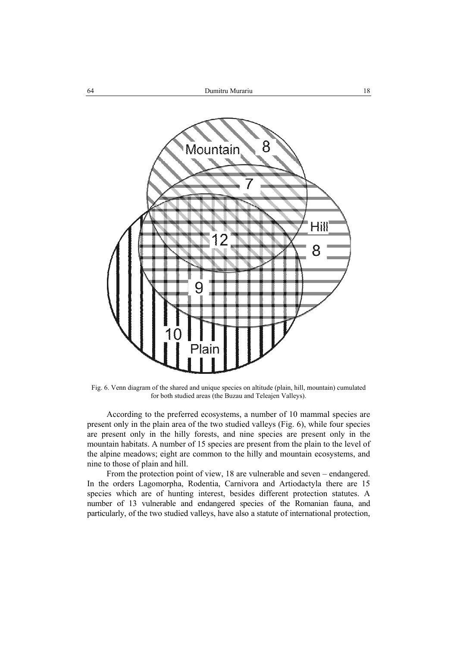

Fig. 6. Venn diagram of the shared and unique species on altitude (plain, hill, mountain) cumulated for both studied areas (the Buzau and Teleajen Valleys).

According to the preferred ecosystems, a number of 10 mammal species are present only in the plain area of the two studied valleys (Fig. 6), while four species are present only in the hilly forests, and nine species are present only in the mountain habitats. A number of 15 species are present from the plain to the level of the alpine meadows; eight are common to the hilly and mountain ecosystems, and nine to those of plain and hill.

From the protection point of view, 18 are vulnerable and seven – endangered. In the orders Lagomorpha, Rodentia, Carnivora and Artiodactyla there are 15 species which are of hunting interest, besides different protection statutes. A number of 13 vulnerable and endangered species of the Romanian fauna, and particularly, of the two studied valleys, have also a statute of international protection,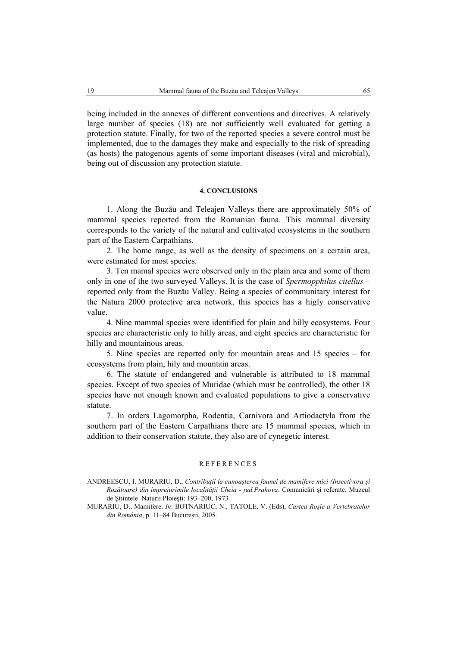being included in the annexes of different conventions and directives. A relatively large number of species (18) are not sufficiently well evaluated for getting a protection statute. Finally, for two of the reported species a severe control must be implemented, due to the damages they make and especially to the risk of spreading (as hosts) the patogenous agents of some important diseases (viral and microbial), being out of discussion any protection statute.

#### **4. CONCLUSIONS**

1. Along the Buzău and Teleajen Valleys there are approximately 50% of mammal species reported from the Romanian fauna. This mammal diversity corresponds to the variety of the natural and cultivated ecosystems in the southern part of the Eastern Carpathians.

2. The home range, as well as the density of specimens on a certain area, were estimated for most species.

3. Ten mamal species were observed only in the plain area and some of them only in one of the two surveyed Valleys. It is the case of *Spermopphilus citellus* – reported only from the Buzău Valley. Being a species of communitary interest for the Natura 2000 protective area network, this species has a higly conservative value.

4. Nine mammal species were identified for plain and hilly ecosystems. Four species are characteristic only to hilly areas, and eight species are characteristic for hilly and mountainous areas.

5. Nine species are reported only for mountain areas and 15 species – for ecosystems from plain, hily and mountain areas.

6. The statute of endangered and vulnerable is attributed to 18 mammal species. Except of two species of Muridae (which must be controlled), the other 18 species have not enough known and evaluated populations to give a conservative statute.

7. In orders Lagomorpha, Rodentia, Carnivora and Artiodactyla from the southern part of the Eastern Carpathians there are 15 mammal species, which in addition to their conservation statute, they also are of cynegetic interest.

#### REFERENCES

ANDREESCU, I. MURARIU, D., *Contribuţii la cunoaşterea faunei de mamifere mici (Insectivora şi Rozătoare) din împrejurimile localităţii Cheia - jud.Prahova*. Comunicări şi referate, Muzeul de Ştiinţele Naturii Ploieşti: 193–200, 1973*.*

MURARIU, D., Mamifere. *In*: BOTNARIUC, N., TATOLE, V. (Eds), *Cartea Roşie a Vertebratelor din România*, p. 11–84 Bucureşti, 2005.